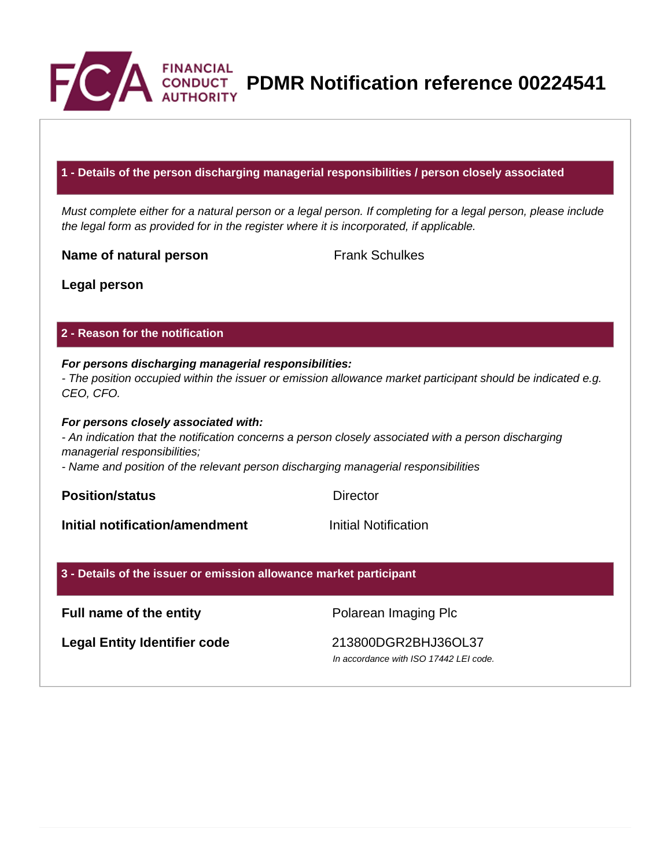

**PDMR Notification reference 00224541**

## **1 - Details of the person discharging managerial responsibilities / person closely associated**

Must complete either for a natural person or a legal person. If completing for a legal person, please include the legal form as provided for in the register where it is incorporated, if applicable.

**Name of natural person** Frank Schulkes

**Legal person**

### **2 - Reason for the notification**

### **For persons discharging managerial responsibilities:** - The position occupied within the issuer or emission allowance market participant should be indicated e.g.

CEO, CFO.

#### **For persons closely associated with:**

- An indication that the notification concerns a person closely associated with a person discharging managerial responsibilities;

- Name and position of the relevant person discharging managerial responsibilities

**Position/status** Director

**Initial notification/amendment Initial Notification** 

#### **3 - Details of the issuer or emission allowance market participant**

# **Full name of the entity Polarean Imaging Plc**

**Legal Entity Identifier code** 213800DGR2BHJ36OL37

In accordance with ISO 17442 LEI code.